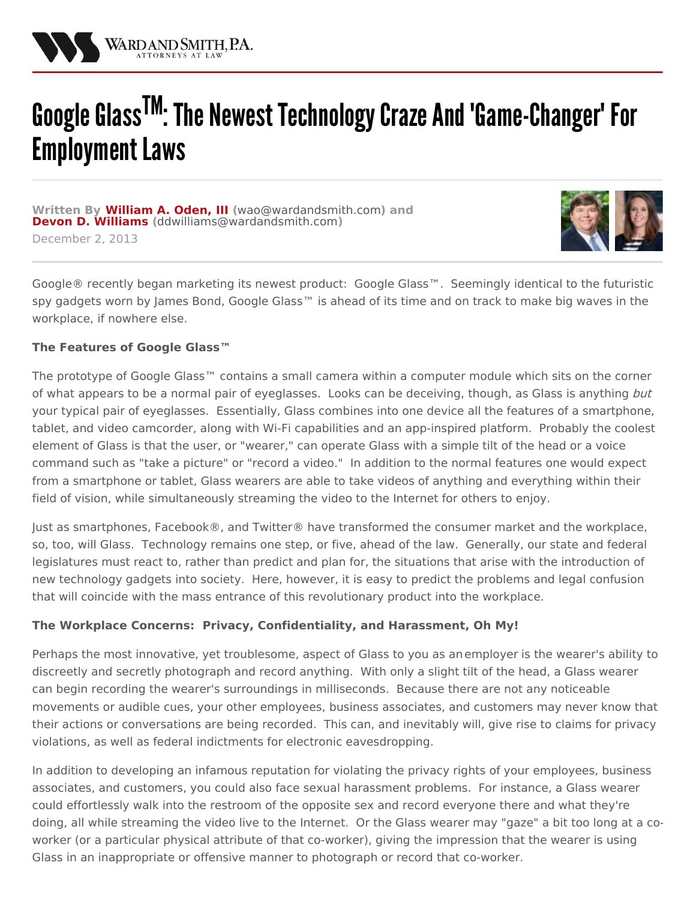

# Google Glass<sup>TM</sup>: The Newest Technology Craze And 'Game-Changer' For Employment Laws

**Written By [William](/attorneys/william-oden) A. Oden, III (**[wao@wardandsmith.com](mailto:wao@wardandsmith.com)**) and Devon D. [Williams](/attorneys/devon-williams) (**[ddwilliams@wardandsmith.com](mailto:ddwilliams@wardandsmith.com)**)** December 2, 2013



Google® recently began marketing its newest product: Google [Glass™](http://www.google.com/glass/start/). Seemingly identical to the futuristic spy gadgets worn by James Bond, Google Glass™ is ahead of its time and on track to make big waves in the workplace, if nowhere else.

#### **The Features of Google Glass™**

The prototype of Google Glass<sup>™</sup> contains a small camera within a computer module which sits on the corner of what appears to be a normal pair of eyeglasses. Looks can be deceiving, though, as Glass is anything but your typical pair of eyeglasses. Essentially, Glass combines into one device all the features of a smartphone, tablet, and video camcorder, along with Wi-Fi capabilities and an app-inspired platform. Probably the coolest element of Glass is that the user, or "wearer," can operate Glass with a simple tilt of the head or a voice command such as "take a picture" or "record a video." In addition to the normal features one would expect from a smartphone or tablet, Glass wearers are able to take videos of anything and everything within their field of vision, while simultaneously streaming the video to the Internet for others to enjoy.

Just as smartphones, Facebook®, and Twitter® have transformed the consumer market and the workplace, so, too, will Glass. Technology remains one step, or five, ahead of the law. Generally, our state and federal legislatures must react to, rather than predict and plan for, the situations that arise with the introduction of new technology gadgets into society. Here, however, it is easy to predict the problems and legal confusion that will coincide with the mass entrance of this revolutionary product into the workplace.

#### **The Workplace Concerns: Privacy, Confidentiality, and Harassment, Oh My!**

Perhaps the most innovative, yet troublesome, aspect of Glass to you as an[employer](/practices/labor-and-employment) is the wearer's ability to discreetly and secretly photograph and record anything. With only a slight tilt of the head, a Glass wearer can begin recording the wearer's surroundings in milliseconds. Because there are not any noticeable movements or audible cues, your other employees, business associates, and customers may never know that their actions or conversations are being recorded. This can, and inevitably will, give rise to claims for privacy violations, as well as federal indictments for electronic eavesdropping.

In addition to developing an infamous reputation for violating the privacy rights of your employees, business associates, and customers, you could also face sexual harassment problems. For instance, a Glass wearer could effortlessly walk into the restroom of the opposite sex and record everyone there and what they're doing, all while streaming the video live to the Internet. Or the Glass wearer may "gaze" a bit too long at a coworker (or a particular physical attribute of that co-worker), giving the impression that the wearer is using Glass in an inappropriate or offensive manner to photograph or record that co-worker.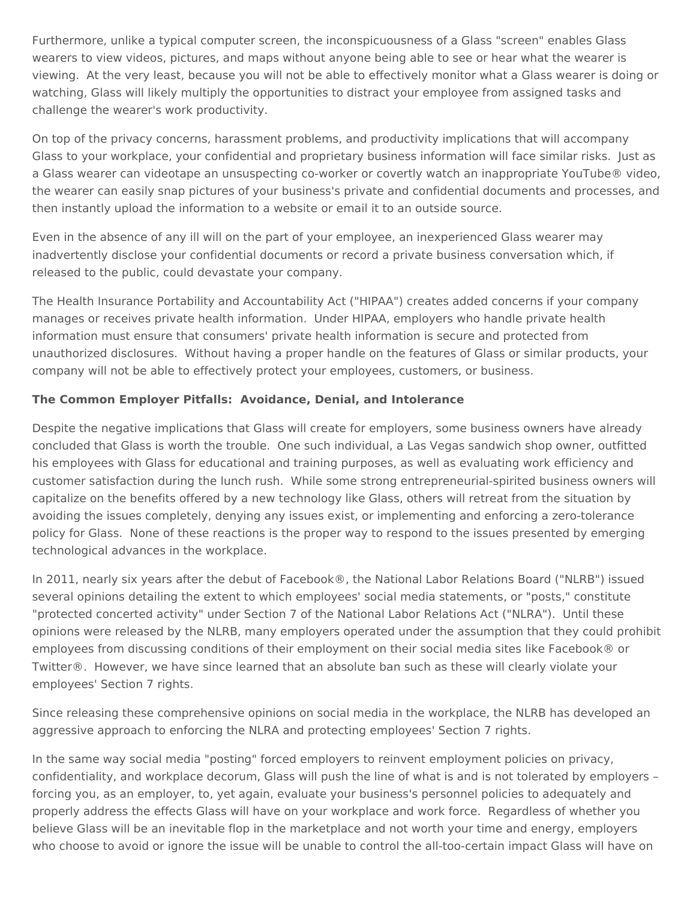Furthermore, unlike a typical computer screen, the inconspicuousness of a Glass "screen" enables Glass wearers to view videos, pictures, and maps without anyone being able to see or hear what the wearer is viewing. At the very least, because you will not be able to effectively monitor what a Glass wearer is doing or watching, Glass will likely multiply the opportunities to distract your employee from assigned tasks and challenge the wearer's work productivity.

On top of the privacy concerns, harassment problems, and productivity implications that will accompany Glass to your workplace, your confidential and proprietary business information will face similar risks. Just as a Glass wearer can videotape an unsuspecting co-worker or covertly watch an inappropriate YouTube® video, the wearer can easily snap pictures of your business's private and confidential documents and processes, and then instantly upload the information to a website or email it to an outside source.

Even in the absence of any ill will on the part of your employee, an inexperienced Glass wearer may inadvertently disclose your confidential documents or record a private business conversation which, if released to the public, could devastate your company.

The Health Insurance Portability and Accountability Act ("HIPAA") creates added concerns if your company manages or receives private health information. Under HIPAA, employers who handle private health information must ensure that consumers' private health information is secure and protected from unauthorized disclosures. Without having a proper handle on the features of Glass or similar products, your company will not be able to effectively protect your employees, customers, or business.

### **The Common Employer Pitfalls: Avoidance, Denial, and Intolerance**

Despite the negative implications that Glass will create for employers, some business owners have already concluded that Glass is worth the trouble. One such individual, a Las Vegas sandwich shop owner, outfitted his employees with Glass for educational and training purposes, as well as evaluating work efficiency and customer satisfaction during the lunch rush. While some strong entrepreneurial-spirited business owners will capitalize on the benefits offered by a new technology like Glass, others will retreat from the situation by avoiding the issues completely, denying any issues exist, or implementing and enforcing a zero-tolerance policy for Glass. None of these reactions is the proper way to respond to the issues presented by emerging technological advances in the workplace.

In 2011, nearly six years after the debut of Facebook®, the National Labor Relations Board ("NLRB") issued several opinions detailing the extent to which employees' social media statements, or "posts," constitute "protected concerted activity" under Section 7 of the National Labor Relations Act ("NLRA"). Until these opinions were released by the NLRB, many employers operated under the assumption that they could prohibit employees from discussing conditions of their employment on their social media sites like Facebook® or Twitter®. However, we have since learned that an absolute ban such as these will clearly violate your employees' Section 7 rights.

Since releasing these comprehensive opinions on social media in the workplace, the NLRB has developed an aggressive approach to enforcing the NLRA and protecting employees' Section 7 rights.

In the same way social media "posting" forced employers to reinvent employment policies on privacy, confidentiality, and workplace decorum, Glass will push the line of what is and is not tolerated by employers – forcing you, as an employer, to, yet again, evaluate your business's personnel policies to adequately and properly address the effects Glass will have on your workplace and work force. Regardless of whether you believe Glass will be an inevitable flop in the marketplace and not worth your time and energy, employers who choose to avoid or ignore the issue will be unable to control the all-too-certain impact Glass will have on